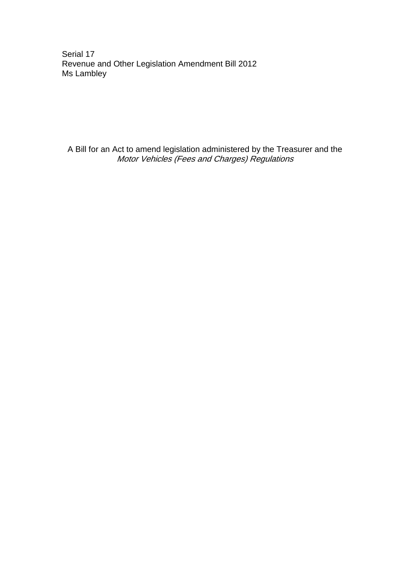Serial 17 Revenue and Other Legislation Amendment Bill 2012 Ms Lambley

A Bill for an Act to amend legislation administered by the Treasurer and the Motor Vehicles (Fees and Charges) Regulations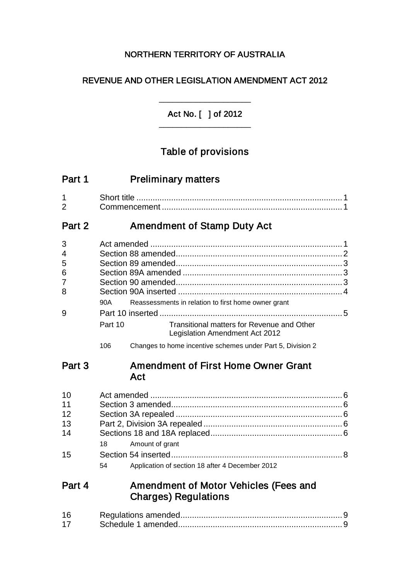### NORTHERN TERRITORY OF AUSTRALIA

### REVENUE AND OTHER LEGISLATION AMENDMENT ACT 2012

Act No. [ ] of 2012 \_\_\_\_\_\_\_\_\_\_\_\_\_\_\_\_\_\_\_\_

\_\_\_\_\_\_\_\_\_\_\_\_\_\_\_\_\_\_\_\_

# Table of provisions

| Part 1              | <b>Preliminary matters</b>                                                              |  |  |  |
|---------------------|-----------------------------------------------------------------------------------------|--|--|--|
| 1<br>$\overline{2}$ |                                                                                         |  |  |  |
| Part 2              | <b>Amendment of Stamp Duty Act</b>                                                      |  |  |  |
| 3                   |                                                                                         |  |  |  |
| 4                   |                                                                                         |  |  |  |
| 5                   |                                                                                         |  |  |  |
| 6                   |                                                                                         |  |  |  |
| 7                   |                                                                                         |  |  |  |
| 8                   |                                                                                         |  |  |  |
|                     | Reassessments in relation to first home owner grant<br>90A                              |  |  |  |
| 9                   |                                                                                         |  |  |  |
|                     | Transitional matters for Revenue and Other<br>Part 10<br>Legislation Amendment Act 2012 |  |  |  |
|                     | 106<br>Changes to home incentive schemes under Part 5, Division 2                       |  |  |  |
| Part 3              | <b>Amendment of First Home Owner Grant</b><br>Act                                       |  |  |  |
| 10                  |                                                                                         |  |  |  |
| 11                  |                                                                                         |  |  |  |
| 12                  |                                                                                         |  |  |  |
| 13                  |                                                                                         |  |  |  |
| 14                  |                                                                                         |  |  |  |
|                     | Amount of grant<br>18                                                                   |  |  |  |
| 15                  |                                                                                         |  |  |  |

54 Application of section 18 after 4 December 2012

### Part 4 Amendment of Motor Vehicles (Fees and Charges) Regulations

| 16 |  |
|----|--|
| 17 |  |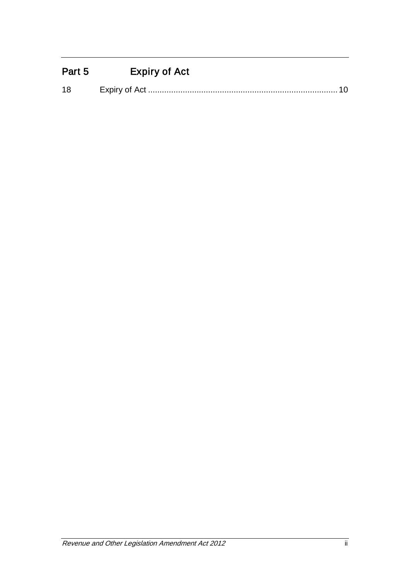# Part 5 Expiry of Act

| 1۶ |  |  |
|----|--|--|
|    |  |  |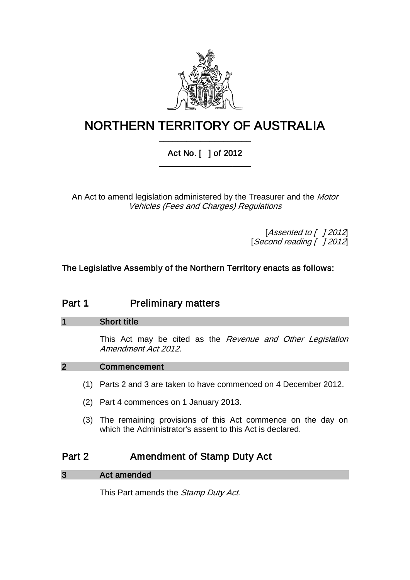

## NORTHERN TERRITORY OF AUSTRALIA \_\_\_\_\_\_\_\_\_\_\_\_\_\_\_\_\_\_\_\_

### Act No. [ ] of 2012 \_\_\_\_\_\_\_\_\_\_\_\_\_\_\_\_\_\_\_\_

An Act to amend legislation administered by the Treasurer and the Motor Vehicles (Fees and Charges) Regulations

> [Assented to [ ] 2012] [Second reading [ ] 2012]

### The Legislative Assembly of the Northern Territory enacts as follows:

### Part 1 **Preliminary matters**

### 1 Short title

This Act may be cited as the Revenue and Other Legislation Amendment Act 2012.

### 2 Commencement

- (1) Parts 2 and 3 are taken to have commenced on 4 December 2012.
- (2) Part 4 commences on 1 January 2013.
- (3) The remaining provisions of this Act commence on the day on which the Administrator's assent to this Act is declared.

### Part 2 Amendment of Stamp Duty Act

| Act amended<br>3 |
|------------------|
|                  |

This Part amends the Stamp Duty Act.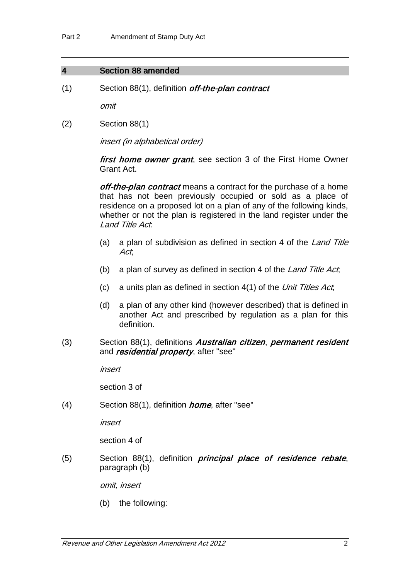### 4 Section 88 amended

(1) Section 88(1), definition off-the-plan contract

omit

(2) Section 88(1)

insert (in alphabetical order)

first home owner grant, see section 3 of the First Home Owner Grant Act.

off-the-plan contract means a contract for the purchase of a home that has not been previously occupied or sold as a place of residence on a proposed lot on a plan of any of the following kinds, whether or not the plan is registered in the land register under the Land Title Act:

- (a) a plan of subdivision as defined in section 4 of the Land Title Act;
- (b) a plan of survey as defined in section 4 of the Land Title Act,
- (c) a units plan as defined in section  $4(1)$  of the Unit Titles Act,
- (d) a plan of any other kind (however described) that is defined in another Act and prescribed by regulation as a plan for this definition.
- (3) Section 88(1), definitions Australian citizen, permanent resident and *residential property*, after "see"

insert

section 3 of

(4) Section 88(1), definition home, after "see"

insert

section 4 of

(5) Section 88(1), definition *principal place of residence rebate*, paragraph (b)

omit, insert

(b) the following: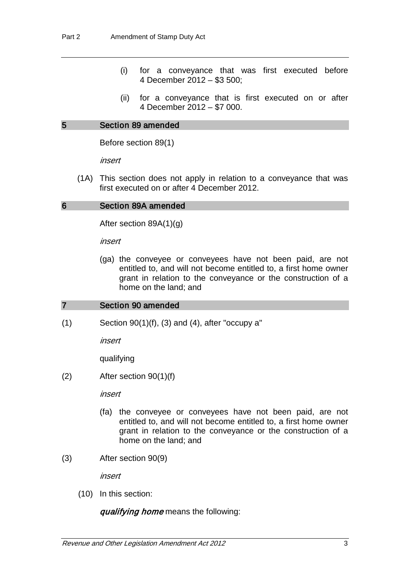- (i) for a conveyance that was first executed before 4 December 2012 – \$3 500;
- (ii) for a conveyance that is first executed on or after 4 December 2012 – \$7 000.

#### 5 Section 89 amended

Before section 89(1)

insert

(1A) This section does not apply in relation to a conveyance that was first executed on or after 4 December 2012.

#### 6 Section 89A amended

After section 89A(1)(g)

insert

(ga) the conveyee or conveyees have not been paid, are not entitled to, and will not become entitled to, a first home owner grant in relation to the conveyance or the construction of a home on the land; and

### 7 Section 90 amended

 $(1)$  Section  $90(1)(f)$ ,  $(3)$  and  $(4)$ , after "occupy a"

insert

qualifying

(2) After section 90(1)(f)

insert

- (fa) the conveyee or conveyees have not been paid, are not entitled to, and will not become entitled to, a first home owner grant in relation to the conveyance or the construction of a home on the land; and
- (3) After section 90(9)

insert

(10) In this section:

qualifying home means the following: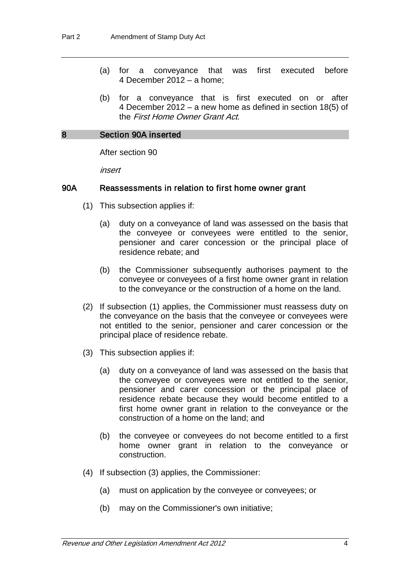- (a) for a conveyance that was first executed before 4 December 2012 – a home;
- (b) for a conveyance that is first executed on or after 4 December 2012 – a new home as defined in section 18(5) of the First Home Owner Grant Act.

### 8 Section 90A inserted

After section 90

insert

### 90A Reassessments in relation to first home owner grant

- (1) This subsection applies if:
	- (a) duty on a conveyance of land was assessed on the basis that the conveyee or conveyees were entitled to the senior, pensioner and carer concession or the principal place of residence rebate; and
	- (b) the Commissioner subsequently authorises payment to the conveyee or conveyees of a first home owner grant in relation to the conveyance or the construction of a home on the land.
- (2) If subsection (1) applies, the Commissioner must reassess duty on the conveyance on the basis that the conveyee or conveyees were not entitled to the senior, pensioner and carer concession or the principal place of residence rebate.
- (3) This subsection applies if:
	- (a) duty on a conveyance of land was assessed on the basis that the conveyee or conveyees were not entitled to the senior, pensioner and carer concession or the principal place of residence rebate because they would become entitled to a first home owner grant in relation to the conveyance or the construction of a home on the land; and
	- (b) the conveyee or conveyees do not become entitled to a first home owner grant in relation to the conveyance or construction.
- (4) If subsection (3) applies, the Commissioner:
	- (a) must on application by the conveyee or conveyees; or
	- (b) may on the Commissioner's own initiative;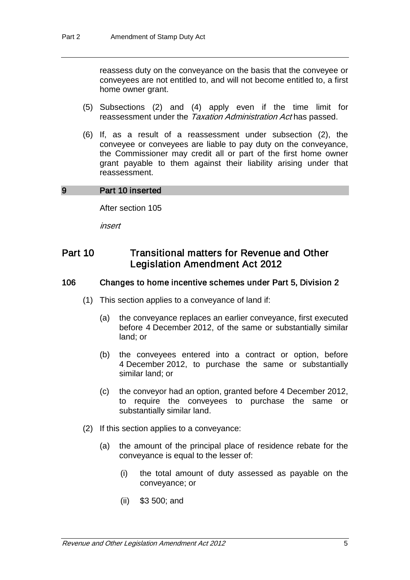reassess duty on the conveyance on the basis that the conveyee or conveyees are not entitled to, and will not become entitled to, a first home owner grant.

- (5) Subsections (2) and (4) apply even if the time limit for reassessment under the Taxation Administration Act has passed.
- (6) If, as a result of a reassessment under subsection (2), the conveyee or conveyees are liable to pay duty on the conveyance, the Commissioner may credit all or part of the first home owner grant payable to them against their liability arising under that reassessment.

### 9 Part 10 inserted

After section 105

insert

### Part 10 Transitional matters for Revenue and Other Legislation Amendment Act 2012

### 106 Changes to home incentive schemes under Part 5, Division 2

- (1) This section applies to a conveyance of land if:
	- (a) the conveyance replaces an earlier conveyance, first executed before 4 December 2012, of the same or substantially similar land; or
	- (b) the conveyees entered into a contract or option, before 4 December 2012, to purchase the same or substantially similar land; or
	- (c) the conveyor had an option, granted before 4 December 2012, to require the conveyees to purchase the same or substantially similar land.
- (2) If this section applies to a conveyance:
	- (a) the amount of the principal place of residence rebate for the conveyance is equal to the lesser of:
		- (i) the total amount of duty assessed as payable on the conveyance; or
		- (ii) \$3 500; and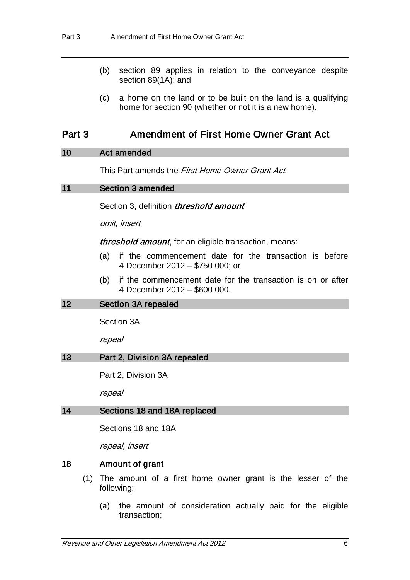- (b) section 89 applies in relation to the conveyance despite section 89(1A); and
- (c) a home on the land or to be built on the land is a qualifying home for section 90 (whether or not it is a new home).

### Part 3 Amendment of First Home Owner Grant Act

### 10 Act amended

This Part amends the *First Home Owner Grant Act*.

### 11 Section 3 amended

Section 3, definition *threshold amount* 

omit, insert

threshold amount, for an eligible transaction, means:

- (a) if the commencement date for the transaction is before 4 December 2012 – \$750 000; or
- (b) if the commencement date for the transaction is on or after 4 December 2012 – \$600 000.

#### 12 Section 3A repealed

Section 3A

repeal

#### 13 Part 2, Division 3A repealed

Part 2, Division 3A

repeal

#### 14 Sections 18 and 18A replaced

Sections 18 and 18A

repeal, insert

### 18 Amount of grant

- (1) The amount of a first home owner grant is the lesser of the following:
	- (a) the amount of consideration actually paid for the eligible transaction;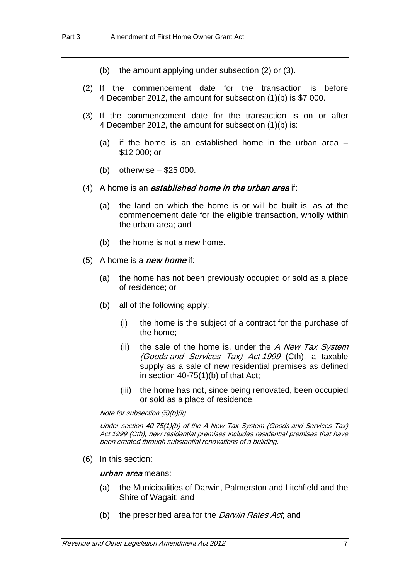- (b) the amount applying under subsection (2) or (3).
- (2) If the commencement date for the transaction is before 4 December 2012, the amount for subsection (1)(b) is \$7 000.
- (3) If the commencement date for the transaction is on or after 4 December 2012, the amount for subsection (1)(b) is:
	- (a) if the home is an established home in the urban area  $-$ \$12 000; or
	- (b) otherwise \$25 000.
- (4) A home is an *established home in the urban area* if:
	- (a) the land on which the home is or will be built is, as at the commencement date for the eligible transaction, wholly within the urban area; and
	- (b) the home is not a new home.
- $(5)$  A home is a *new home* if:
	- (a) the home has not been previously occupied or sold as a place of residence; or
	- (b) all of the following apply:
		- (i) the home is the subject of a contract for the purchase of the home;
		- (ii) the sale of the home is, under the  $A$  New Tax System (Goods and Services Tax) Act 1999 (Cth), a taxable supply as a sale of new residential premises as defined in section 40-75(1)(b) of that Act;
		- (iii) the home has not, since being renovated, been occupied or sold as a place of residence.

Note for subsection (5)(b)(ii)

Under section 40-75(1)(b) of the A New Tax System (Goods and Services Tax) Act 1999 (Cth), new residential premises includes residential premises that have been created through substantial renovations of a building.

(6) In this section:

#### urban area means:

- (a) the Municipalities of Darwin, Palmerston and Litchfield and the Shire of Wagait; and
- (b) the prescribed area for the *Darwin Rates Act*; and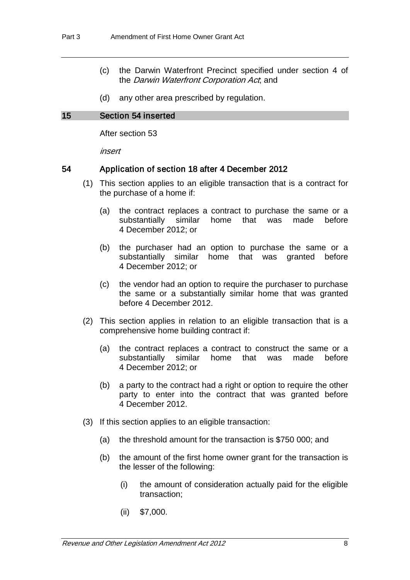- (c) the Darwin Waterfront Precinct specified under section 4 of the *Darwin Waterfront Corporation Act*; and
- (d) any other area prescribed by regulation.

#### 15 Section 54 inserted

After section 53

insert

#### 54 Application of section 18 after 4 December 2012

- (1) This section applies to an eligible transaction that is a contract for the purchase of a home if:
	- (a) the contract replaces a contract to purchase the same or a substantially similar home that was made before 4 December 2012; or
	- (b) the purchaser had an option to purchase the same or a substantially similar home that was granted before 4 December 2012; or
	- (c) the vendor had an option to require the purchaser to purchase the same or a substantially similar home that was granted before 4 December 2012.
- (2) This section applies in relation to an eligible transaction that is a comprehensive home building contract if:
	- (a) the contract replaces a contract to construct the same or a similar home that was made before 4 December 2012; or
	- (b) a party to the contract had a right or option to require the other party to enter into the contract that was granted before 4 December 2012.
- (3) If this section applies to an eligible transaction:
	- (a) the threshold amount for the transaction is \$750 000; and
	- (b) the amount of the first home owner grant for the transaction is the lesser of the following:
		- (i) the amount of consideration actually paid for the eligible transaction;
		- (ii) \$7,000.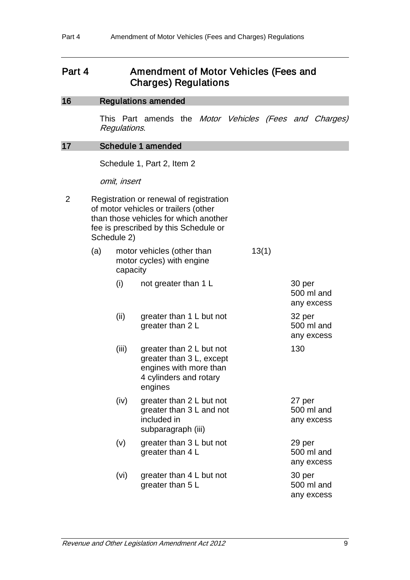### Part 4 Amendment of Motor Vehicles (Fees and Charges) Regulations

### 16 Regulations amended

This Part amends the Motor Vehicles (Fees and Charges) Regulations.

#### 17 Schedule 1 amended

Schedule 1, Part 2, Item 2

omit, insert

2 Registration or renewal of registration of motor vehicles or trailers (other than those vehicles for which another fee is prescribed by this Schedule or Schedule 2)

| (a) | capacity | motor vehicles (other than<br>motor cycles) with engine                                                             | 13(1) |                                    |
|-----|----------|---------------------------------------------------------------------------------------------------------------------|-------|------------------------------------|
|     | (i)      | not greater than 1 L                                                                                                |       | 30 per<br>500 ml and<br>any excess |
|     | (ii)     | greater than 1 L but not<br>greater than 2 L                                                                        |       | 32 per<br>500 ml and<br>any excess |
|     | (iii)    | greater than 2 L but not<br>greater than 3 L, except<br>engines with more than<br>4 cylinders and rotary<br>engines |       | 130                                |
|     | (iv)     | greater than 2 L but not<br>greater than 3 L and not<br>included in<br>subparagraph (iii)                           |       | 27 per<br>500 ml and<br>any excess |
|     | (v)      | greater than 3 L but not<br>greater than 4 L                                                                        |       | 29 per<br>500 ml and<br>any excess |
|     | (vi)     | greater than 4 L but not<br>greater than 5 L                                                                        |       | 30 per<br>500 ml and<br>any excess |